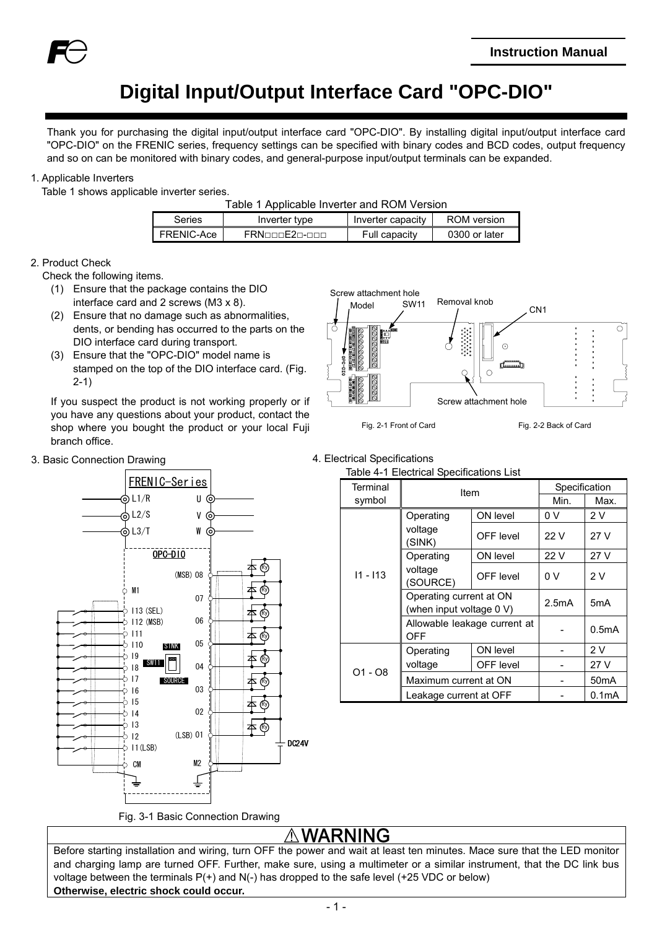

# **Digital Input/Output Interface Card "OPC-DIO"**

Thank you for purchasing the digital input/output interface card "OPC-DIO". By installing digital input/output interface card "OPC-DIO" on the FRENIC series, frequency settings can be specified with binary codes and BCD codes, output frequency and so on can be monitored with binary codes, and general-purpose input/output terminals can be expanded.

### 1. Applicable Inverters

Table 1 shows applicable inverter series.

| Table 1 Applicable Inverter and ROM Version |  |
|---------------------------------------------|--|
|---------------------------------------------|--|

| Series     | Inverter type | Inverter capacity | ROM version   |
|------------|---------------|-------------------|---------------|
| FRFNIC-Ace | FRNoonE2n-noo | Full capacity     | 0300 or later |

#### 2. Product Check

Check the following items.

- (1) Ensure that the package contains the DIO interface card and 2 screws (M3 x 8).
- (2) Ensure that no damage such as abnormalities, dents, or bending has occurred to the parts on the DIO interface card during transport.
- (3) Ensure that the "OPC-DIO" model name is stamped on the top of the DIO interface card. (Fig. 2-1)

If you suspect the product is not working properly or if you have any questions about your product, contact the shop where you bought the product or your local Fuji branch office.



3. Basic Connection Drawing **4. Electrical Specifications** 



| Terminal   | Item                                                |                  | Specification      |                    |
|------------|-----------------------------------------------------|------------------|--------------------|--------------------|
| symbol     |                                                     |                  | Min.               | Max.               |
|            | Operating                                           | ON level         | 0 V                | 2V                 |
|            | voltage<br>(SINK)                                   | OFF level        | 22 V               | 27 V               |
|            | Operating                                           | ON level         | 22 V               | 27 V               |
| $11 - 113$ | voltage<br>(SOURCE)                                 | <b>OFF</b> level | 0 V                | 2V                 |
|            | Operating current at ON<br>(when input voltage 0 V) | 2.5mA            | 5mA                |                    |
|            | Allowable leakage current at<br>OFF                 |                  | 0.5 <sub>m</sub> A |                    |
|            | Operating                                           | ON level         |                    | 2V                 |
|            | voltage                                             | OFF level        |                    | 27 V               |
| $O1 - OB$  | Maximum current at ON                               |                  |                    | 50 <sub>m</sub> A  |
|            | Leakage current at OFF                              |                  |                    | 0.1 <sub>m</sub> A |

# **'ARNING**

Before starting installation and wiring, turn OFF the power and wait at least ten minutes. Mace sure that the LED monitor and charging lamp are turned OFF. Further, make sure, using a multimeter or a similar instrument, that the DC link bus voltage between the terminals P(+) and N(-) has dropped to the safe level (+25 VDC or below) **Otherwise, electric shock could occur.**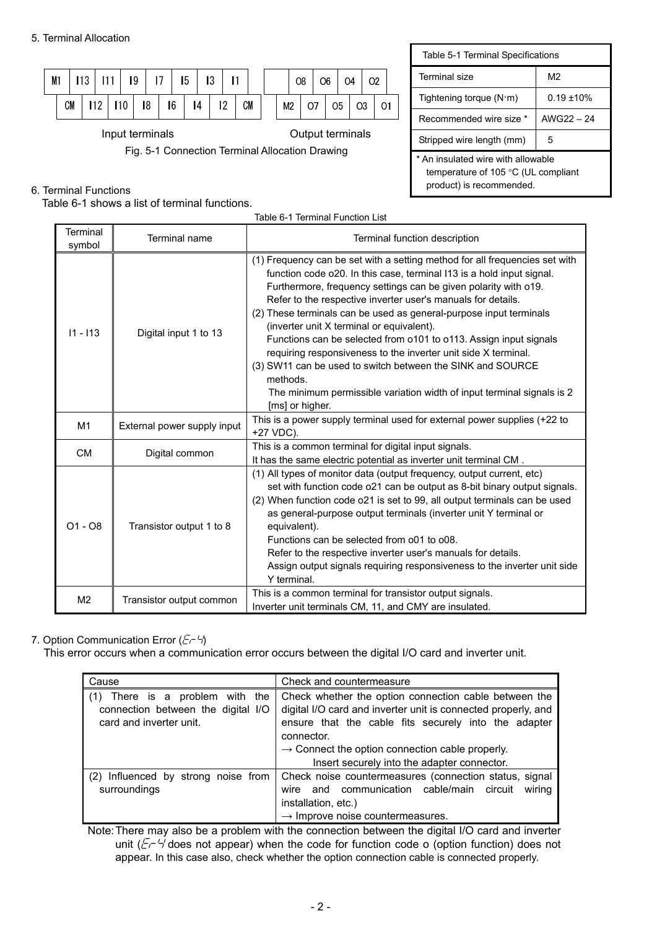

# 6. Terminal Functions

Table 6-1 shows a list of terminal functions.

| Table 5-1 Terminal Specifications                                                                              |                |  |  |  |  |  |
|----------------------------------------------------------------------------------------------------------------|----------------|--|--|--|--|--|
| Terminal size                                                                                                  | M <sub>2</sub> |  |  |  |  |  |
| Tightening torque $(N \cdot m)$                                                                                | $0.19 + 10%$   |  |  |  |  |  |
| Recommended wire size *                                                                                        | AWG22 - 24     |  |  |  |  |  |
| Stripped wire length (mm)                                                                                      | 5              |  |  |  |  |  |
| * An insulated wire with allowable<br>temperature of 105 $\degree$ C (UL compliant<br>product) is recommended. |                |  |  |  |  |  |

| Table 6-1 Terminal Function List |                             |                                                                                                                                                                                                                                                                                                                                                                                                                                                                                                                                                                                                                                                                                                                          |  |  |  |  |  |
|----------------------------------|-----------------------------|--------------------------------------------------------------------------------------------------------------------------------------------------------------------------------------------------------------------------------------------------------------------------------------------------------------------------------------------------------------------------------------------------------------------------------------------------------------------------------------------------------------------------------------------------------------------------------------------------------------------------------------------------------------------------------------------------------------------------|--|--|--|--|--|
| Terminal<br>symbol               | Terminal name               | Terminal function description                                                                                                                                                                                                                                                                                                                                                                                                                                                                                                                                                                                                                                                                                            |  |  |  |  |  |
| $11 - 113$                       | Digital input 1 to 13       | (1) Frequency can be set with a setting method for all frequencies set with<br>function code o20. In this case, terminal I13 is a hold input signal.<br>Furthermore, frequency settings can be given polarity with o19.<br>Refer to the respective inverter user's manuals for details.<br>(2) These terminals can be used as general-purpose input terminals<br>(inverter unit X terminal or equivalent).<br>Functions can be selected from o101 to o113. Assign input signals<br>requiring responsiveness to the inverter unit side X terminal.<br>(3) SW11 can be used to switch between the SINK and SOURCE<br>methods.<br>The minimum permissible variation width of input terminal signals is 2<br>[ms] or higher. |  |  |  |  |  |
| M <sub>1</sub>                   | External power supply input | This is a power supply terminal used for external power supplies (+22 to<br>+27 VDC).                                                                                                                                                                                                                                                                                                                                                                                                                                                                                                                                                                                                                                    |  |  |  |  |  |
| <b>CM</b>                        | Digital common              | This is a common terminal for digital input signals.<br>It has the same electric potential as inverter unit terminal CM.                                                                                                                                                                                                                                                                                                                                                                                                                                                                                                                                                                                                 |  |  |  |  |  |
| $O1 - O8$                        | Transistor output 1 to 8    | (1) All types of monitor data (output frequency, output current, etc)<br>set with function code o21 can be output as 8-bit binary output signals.<br>(2) When function code o21 is set to 99, all output terminals can be used<br>as general-purpose output terminals (inverter unit Y terminal or<br>equivalent).<br>Functions can be selected from o01 to o08.<br>Refer to the respective inverter user's manuals for details.<br>Assign output signals requiring responsiveness to the inverter unit side<br>Y terminal.                                                                                                                                                                                              |  |  |  |  |  |
| M <sub>2</sub>                   | Transistor output common    | This is a common terminal for transistor output signals.<br>Inverter unit terminals CM, 11, and CMY are insulated.                                                                                                                                                                                                                                                                                                                                                                                                                                                                                                                                                                                                       |  |  |  |  |  |

# 7. Option Communication Error  $(E - 4)$

This error occurs when a communication error occurs between the digital I/O card and inverter unit.

| Cause                                                                                                  | Check and countermeasure                                                                                                                                                                                                                                                                                   |
|--------------------------------------------------------------------------------------------------------|------------------------------------------------------------------------------------------------------------------------------------------------------------------------------------------------------------------------------------------------------------------------------------------------------------|
| There is a problem with<br>(1)<br>the<br>connection between the digital I/O<br>card and inverter unit. | Check whether the option connection cable between the<br>digital I/O card and inverter unit is connected properly, and<br>ensure that the cable fits securely into the adapter<br>connector.<br>$\rightarrow$ Connect the option connection cable properly.<br>Insert securely into the adapter connector. |
| Influenced by strong noise from<br>(2)<br>surroundings                                                 | Check noise countermeasures (connection status, signal<br>and communication cable/main circuit<br>wiring<br>wire<br>installation, etc.)<br>$\rightarrow$ Improve noise countermeasures.                                                                                                                    |

Note: There may also be a problem with the connection between the digital I/O card and inverter unit ( $E^{-4}$  does not appear) when the code for function code o (option function) does not appear. In this case also, check whether the option connection cable is connected properly.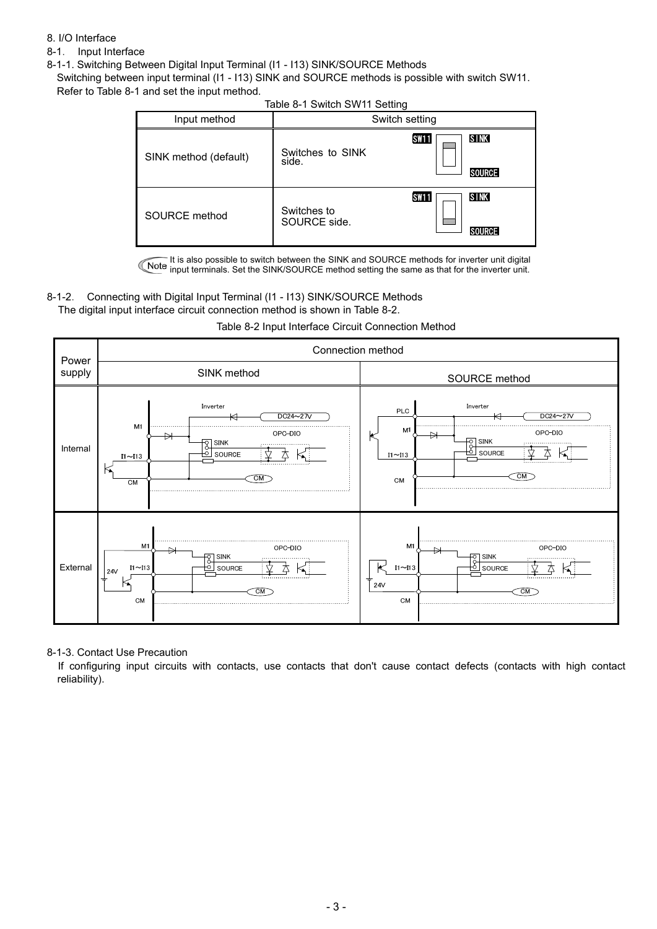### 8. I/O Interface

- 8-1. Input Interface
- 8-1-1. Switching Between Digital Input Terminal (I1 I13) SINK/SOURCE Methods

Switching between input terminal (I1 - I13) SINK and SOURCE methods is possible with switch SW11. Refer to Table 8-1 and set the input method.

|                       | Table 0-1 OWILGH OVER LIST ORIGING |                                                  |
|-----------------------|------------------------------------|--------------------------------------------------|
| Input method          |                                    | Switch setting                                   |
| SINK method (default) | Switches to SINK<br>side.          | <b>SINK</b><br><b>SW11</b><br>▩<br><b>SOURCE</b> |
| SOURCE method         | Switches to<br>SOURCE side.        | <b>SINK</b><br><b>SW11</b><br>▥                  |

#### Table 8-1 Switch SW11 Setting

It is also possible to switch between the SINK and SOURCE methods for inverter unit digital input terminals. Set the SINK/SOURCE method setting the same as that for the inverter unit.

# 8-1-2. Connecting with Digital Input Terminal (I1 - I13) SINK/SOURCE Methods

The digital input interface circuit connection method is shown in Table 8-2.



### Table 8-2 Input Interface Circuit Connection Method

8-1-3. Contact Use Precaution

If configuring input circuits with contacts, use contacts that don't cause contact defects (contacts with high contact reliability).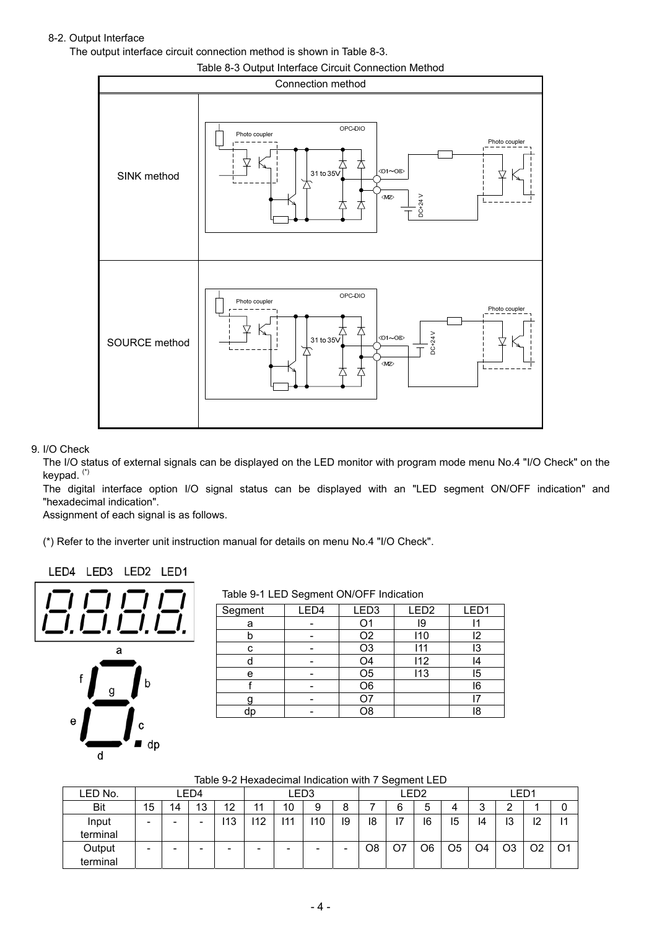# 8-2. Output Interface

The output interface circuit connection method is shown in Table 8-3.



9. I/O Check

The I/O status of external signals can be displayed on the LED monitor with program mode menu No.4 "I/O Check" on the keypad. (\*)

The digital interface option I/O signal status can be displayed with an "LED segment ON/OFF indication" and "hexadecimal indication".

Assignment of each signal is as follows.

(\*) Refer to the inverter unit instruction manual for details on menu No.4 "I/O Check".

### LED4 LED3 LED2 LED1



Table 9-1 LED Segment ON/OFF Indication

| Segment | LED4 | LED <sub>3</sub> | LED <sub>2</sub> | LED1 |
|---------|------|------------------|------------------|------|
| а       |      | Ω1               | 19               |      |
| D       |      | O <sub>2</sub>   | 110              | I2   |
| с       |      | O <sub>3</sub>   | 111              | l3   |
|         |      | O4               | 112              |      |
| e       |      | O <sub>5</sub>   | 113              | 15   |
|         |      | O <sub>6</sub>   |                  | 16   |
|         |      |                  |                  |      |
| dc      |      | O8               |                  | 18   |
|         |      |                  |                  |      |

Table 9-2 Hexadecimal Indication with 7 Segment LED

| LED No.    |    |    | ED4- |     |     |    | ED3. |    |    |    | LED2           |                |                | LED1 |    |    |
|------------|----|----|------|-----|-----|----|------|----|----|----|----------------|----------------|----------------|------|----|----|
| <b>Bit</b> | 15 | 14 | 13   | 12  | 11  | 10 | 9    | 8  |    | 6  | ა              | 4              | ≏<br>J         |      |    |    |
| Input      |    |    |      | 113 | 112 | 11 | 110  | 19 | 18 | 17 | 16             | 15             | 14             | 13   | 12 | 11 |
| terminal   |    |    |      |     |     |    |      |    |    |    |                |                |                |      |    |    |
| Output     |    |    |      |     |     | -  | -    |    | O8 | O7 | O <sub>6</sub> | O <sub>5</sub> | O <sub>4</sub> | O3   | O2 | O1 |
| terminal   |    |    |      |     |     |    |      |    |    |    |                |                |                |      |    |    |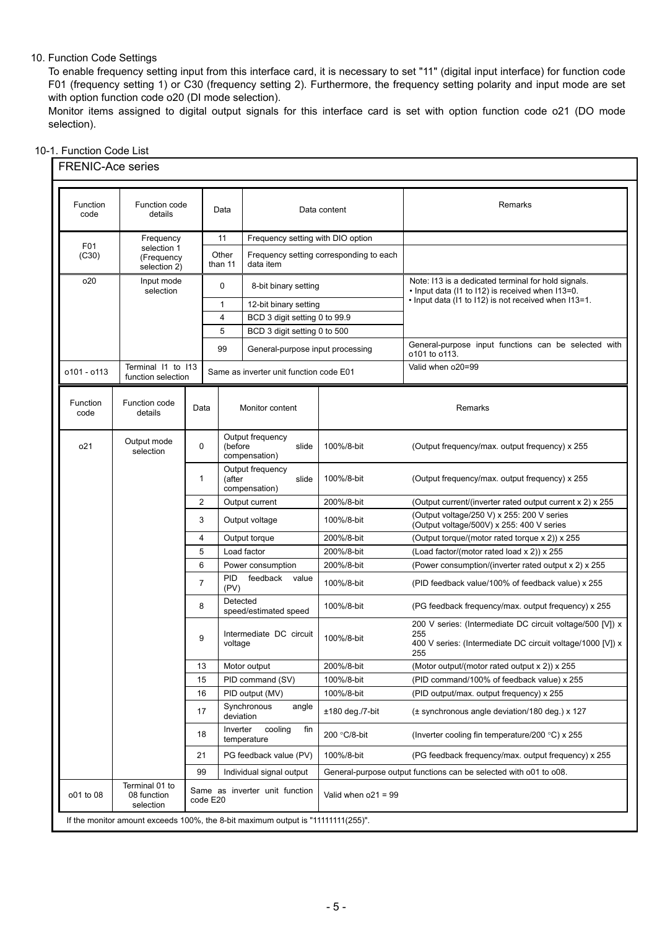### 10. Function Code Settings

To enable frequency setting input from this interface card, it is necessary to set "11" (digital input interface) for function code F01 (frequency setting 1) or C30 (frequency setting 2). Furthermore, the frequency setting polarity and input mode are set with option function code o20 (DI mode selection).

Monitor items assigned to digital output signals for this interface card is set with option function code o21 (DO mode selection).

# 10-1. Function Code List

| Function<br>code | Function code<br>details                   |                | Data                               |                                            | Data content                            | Remarks                                                                                                                               |
|------------------|--------------------------------------------|----------------|------------------------------------|--------------------------------------------|-----------------------------------------|---------------------------------------------------------------------------------------------------------------------------------------|
|                  | Frequency                                  |                |                                    | Frequency setting with DIO option          |                                         |                                                                                                                                       |
| F01<br>(C30)     | selection 1<br>(Frequency<br>selection 2)  |                | Other<br>than 11                   | data item                                  | Frequency setting corresponding to each |                                                                                                                                       |
| o <sub>20</sub>  | Input mode<br>selection                    |                | 0                                  | 8-bit binary setting                       |                                         | Note: I13 is a dedicated terminal for hold signals.<br>. Input data (I1 to I12) is received when I13=0.                               |
|                  |                                            |                | $\mathbf{1}$                       | 12-bit binary setting                      |                                         | . Input data (I1 to I12) is not received when I13=1.                                                                                  |
|                  |                                            |                | 4                                  | BCD 3 digit setting 0 to 99.9              |                                         |                                                                                                                                       |
|                  |                                            |                | 5                                  | BCD 3 digit setting 0 to 500               |                                         |                                                                                                                                       |
|                  |                                            |                | 99                                 | General-purpose input processing           |                                         | General-purpose input functions can be selected with<br>o101 to o113.                                                                 |
| o101 - o113      | Terminal I1 to I13<br>function selection   |                |                                    | Same as inverter unit function code E01    |                                         | Valid when o20=99                                                                                                                     |
| Function<br>code | Function code<br>details                   | Data           |                                    | Monitor content                            |                                         | Remarks                                                                                                                               |
| 021              | Output mode<br>selection                   | $\mathbf 0$    | (before                            | Output frequency<br>slide<br>compensation) | 100%/8-bit                              | (Output frequency/max. output frequency) x 255                                                                                        |
|                  |                                            | $\mathbf{1}$   | (after                             | Output frequency<br>slide<br>compensation) | 100%/8-bit                              | (Output frequency/max. output frequency) x 255                                                                                        |
|                  |                                            | 2              |                                    | Output current                             | 200%/8-bit                              | (Output current/(inverter rated output current x 2) x 255                                                                             |
|                  |                                            | 3              |                                    | Output voltage                             | 100%/8-bit                              | (Output voltage/250 V) x 255: 200 V series<br>(Output voltage/500V) x 255: 400 V series                                               |
|                  |                                            | 4              |                                    | Output torque                              | 200%/8-bit                              | (Output torque/(motor rated torque x 2)) x 255                                                                                        |
|                  |                                            | 5              |                                    | Load factor                                | 200%/8-bit                              | (Load factor/(motor rated load x 2)) x 255                                                                                            |
|                  |                                            | 6              |                                    | Power consumption                          | 200%/8-bit                              | (Power consumption/(inverter rated output x 2) x 255                                                                                  |
|                  |                                            | $\overline{7}$ | PID.<br>(PV)                       | feedback<br>value                          | 100%/8-bit                              | (PID feedback value/100% of feedback value) x 255                                                                                     |
|                  |                                            | 8              | Detected                           | speed/estimated speed                      | 100%/8-bit                              | (PG feedback frequency/max. output frequency) x 255                                                                                   |
|                  |                                            | 9              | Intermediate DC circuit<br>voltage |                                            | 100%/8-bit                              | 200 V series: (Intermediate DC circuit voltage/500 [V]) x<br>255<br>400 V series: (Intermediate DC circuit voltage/1000 [V]) x<br>255 |
|                  |                                            | 13             |                                    | Motor output                               | 200%/8-bit                              | (Motor output/(motor rated output x 2)) x 255                                                                                         |
|                  |                                            | 15             |                                    | PID command (SV)                           | 100%/8-bit                              | (PID command/100% of feedback value) x 255                                                                                            |
|                  |                                            | 16             |                                    | PID output (MV)                            | 100%/8-bit                              | (PID output/max. output frequency) x 255                                                                                              |
|                  |                                            | 17             | deviation                          | Synchronous<br>angle                       | $±180$ deg./7-bit                       | (± synchronous angle deviation/180 deg.) x 127                                                                                        |
|                  |                                            | Inverter<br>18 |                                    | cooling<br>fin<br>temperature              | 200 °C/8-bit                            | (Inverter cooling fin temperature/200 $\degree$ C) x 255                                                                              |
|                  |                                            | 21             |                                    | PG feedback value (PV)                     | 100%/8-bit                              | (PG feedback frequency/max. output frequency) x 255                                                                                   |
|                  |                                            | 99             |                                    | Individual signal output                   |                                         | General-purpose output functions can be selected with o01 to o08.                                                                     |
| o01 to 08        | Terminal 01 to<br>08 function<br>selection |                | code E20                           | Same as inverter unit function             | Valid when $o21 = 99$                   |                                                                                                                                       |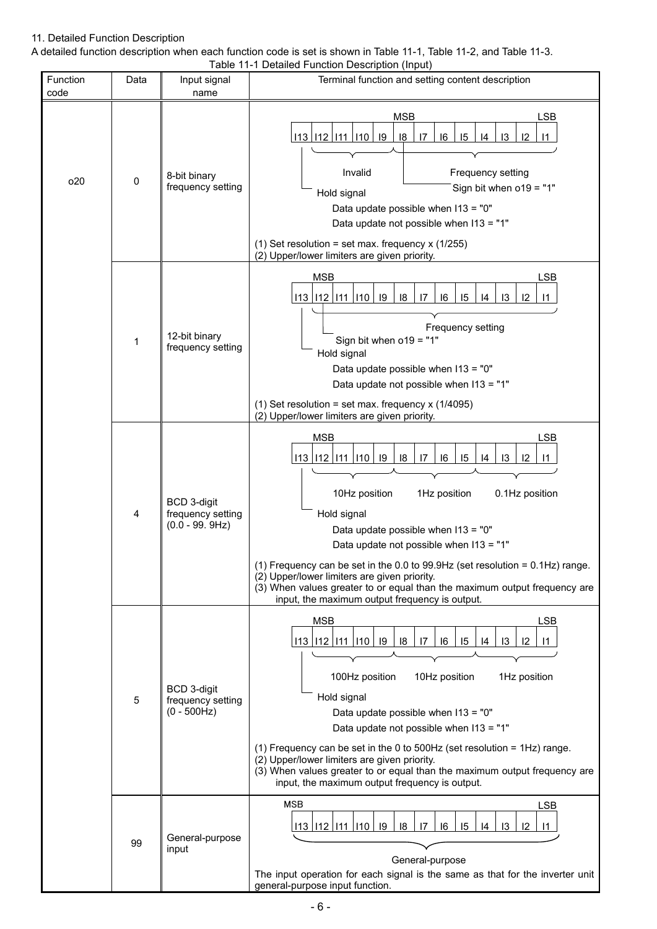## 11. Detailed Function Description

A detailed function description when each function code is set is shown in Table 11-1, Table 11-2, and Table 11-3. Table 11-1 Detailed Function Description (Input)

| Function<br>code | Data        | Input signal<br>name                                  | Table TI-T Detailed Function Description (imput<br>Terminal function and setting content description                                                                                                                                                                                                                                                                                                                                                                                                                                         |
|------------------|-------------|-------------------------------------------------------|----------------------------------------------------------------------------------------------------------------------------------------------------------------------------------------------------------------------------------------------------------------------------------------------------------------------------------------------------------------------------------------------------------------------------------------------------------------------------------------------------------------------------------------------|
| 020              | $\mathbf 0$ | 8-bit binary<br>frequency setting                     | <b>MSB</b><br>LSB<br>$113$   $112$   $111$   $110$   $19$<br>18<br> 7<br> 6<br>15<br>13<br>12<br>14<br>$\vert$ 11<br>Invalid<br>Frequency setting<br>Sign bit when $o19 = "1"$<br>Hold signal<br>Data update possible when I13 = "0"<br>Data update not possible when I13 = "1"<br>(1) Set resolution = set max. frequency $x(1/255)$<br>(2) Upper/lower limiters are given priority.                                                                                                                                                        |
|                  | 1           | 12-bit binary<br>frequency setting                    | <b>MSB</b><br><b>LSB</b><br>$113$   $112$   $111$   $110$   $19$<br>18<br>15<br> 4<br>16<br>$\overline{3}$<br>$ 2\rangle$<br>17<br>$\vert$ 11<br>Frequency setting<br>Sign bit when o19 = "1"<br>Hold signal<br>Data update possible when I13 = "0"<br>Data update not possible when I13 = "1"<br>(1) Set resolution = set max. frequency x (1/4095)<br>(2) Upper/lower limiters are given priority.                                                                                                                                         |
|                  | 4           | BCD 3-digit<br>frequency setting<br>$(0.0 - 99.9 Hz)$ | <b>MSB</b><br><b>LSB</b><br>113 112 111 110 19<br> 8 <br>15<br>17<br>16<br> 4<br>$\overline{3}$<br> 2<br>$\mathsf{I}$<br>10Hz position<br>1Hz position<br>0.1Hz position<br>Hold signal<br>Data update possible when I13 = "0"<br>Data update not possible when I13 = "1"<br>(1) Frequency can be set in the 0.0 to 99.9Hz (set resolution = $0.1$ Hz) range.<br>(2) Upper/lower limiters are given priority.<br>(3) When values greater to or equal than the maximum output frequency are<br>input, the maximum output frequency is output. |
|                  | 5           | BCD 3-digit<br>frequency setting<br>$(0 - 500Hz)$     | <b>MSB</b><br><b>LSB</b><br>$113$   $112$   $111$   $110$   $19$<br>18<br>15<br>13<br> 6<br>12<br>17<br>10Hz position<br>100Hz position<br>1Hz position<br>Hold signal<br>Data update possible when I13 = "0"<br>Data update not possible when I13 = "1"<br>(1) Frequency can be set in the 0 to 500Hz (set resolution = $1$ Hz) range.<br>(2) Upper/lower limiters are given priority.<br>(3) When values greater to or equal than the maximum output frequency are<br>input, the maximum output frequency is output.                       |
|                  | 99          | General-purpose<br>input                              | <b>MSB</b><br>LSB<br>113 112 111 110 19<br>18<br>15<br>$\overline{17}$<br> 6 <br>14<br>13<br>$ 2\rangle$<br>$\overline{11}$<br>General-purpose<br>The input operation for each signal is the same as that for the inverter unit<br>general-purpose input function.                                                                                                                                                                                                                                                                           |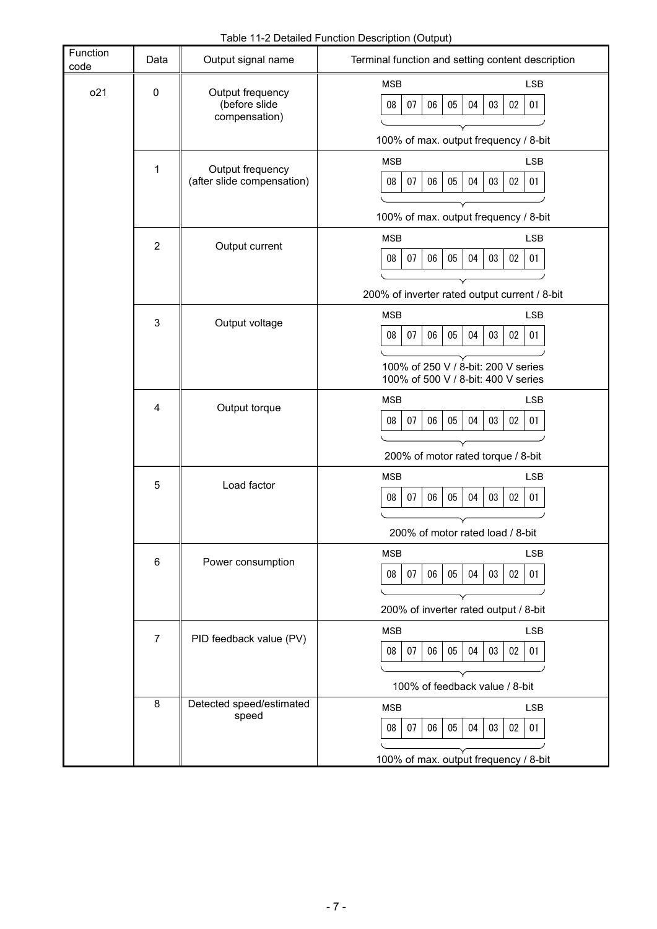Table 11-2 Detailed Function Description (Output)

| Function<br>code | Data               | Output signal name                                 | Terminal function and setting content description                                                                                                          |
|------------------|--------------------|----------------------------------------------------|------------------------------------------------------------------------------------------------------------------------------------------------------------|
| 021              | $\pmb{0}$          | Output frequency<br>(before slide<br>compensation) | <b>LSB</b><br><b>MSB</b><br>08<br>07<br>06<br>05<br>04<br>03<br>02<br>01<br>100% of max. output frequency / 8-bit                                          |
|                  | 1                  | Output frequency<br>(after slide compensation)     | <b>MSB</b><br><b>LSB</b><br>08<br>07<br>06<br>05<br>04<br>03<br>02<br>01<br>100% of max. output frequency / 8-bit                                          |
|                  | $\overline{2}$     | Output current                                     | <b>MSB</b><br><b>LSB</b><br>08<br>07<br>06<br>05<br>04<br>03<br>02<br>01<br>200% of inverter rated output current / 8-bit                                  |
|                  | 3                  | Output voltage                                     | <b>MSB</b><br><b>LSB</b><br>08<br>07<br>06<br>05<br>04<br>03<br>$02\,$<br>01<br>100% of 250 V / 8-bit: 200 V series<br>100% of 500 V / 8-bit: 400 V series |
|                  | Output torque<br>4 |                                                    | LSB<br><b>MSB</b><br>07<br>06<br>05<br>04<br>03<br>$02\,$<br>08<br>01<br>200% of motor rated torque / 8-bit                                                |
|                  | 5                  | Load factor                                        | <b>MSB</b><br><b>LSB</b><br>05<br>$02\,$<br>08<br>07<br>06<br>04<br>03<br>01<br>200% of motor rated load / 8-bit                                           |
|                  | 6                  | Power consumption                                  | <b>MSB</b><br><b>LSB</b><br>07<br>$05\,$<br>03<br>02<br>$08\,$<br>06<br>04<br>01<br>200% of inverter rated output / 8-bit                                  |
|                  | $\overline{7}$     | PID feedback value (PV)                            | <b>MSB</b><br><b>LSB</b><br>07<br>05<br>03<br>$02\,$<br>08<br>06<br>04<br>01<br>100% of feedback value / 8-bit                                             |
|                  | 8                  | Detected speed/estimated<br>speed                  | <b>MSB</b><br><b>LSB</b><br>08<br>07<br>06<br>05<br>04<br>$02\,$<br>01<br>03<br>100% of max. output frequency / 8-bit                                      |